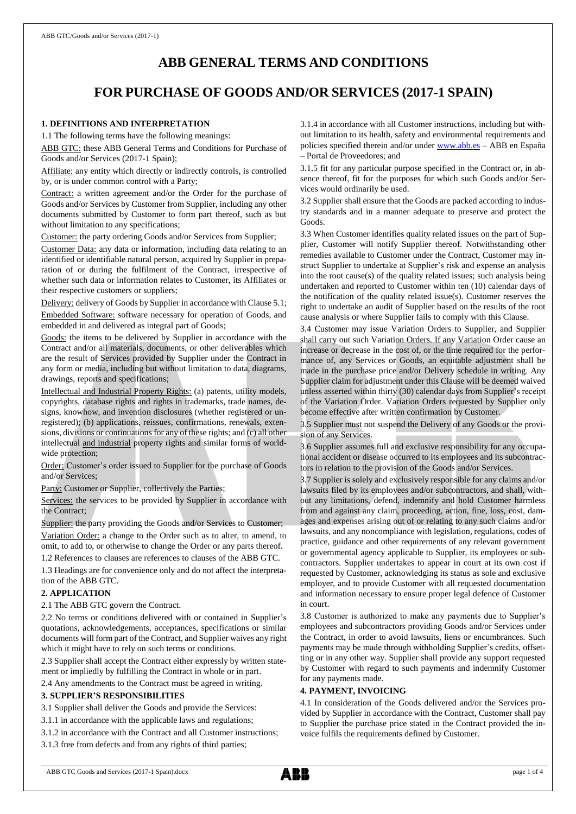# **ABB GENERAL TERMS AND CONDITIONS**

# **FOR PURCHASE OF GOODS AND/OR SERVICES (2017-1 SPAIN)**

# **1. DEFINITIONS AND INTERPRETATION**

1.1 The following terms have the following meanings:

ABB GTC: these ABB General Terms and Conditions for Purchase of Goods and/or Services (2017-1 Spain);

Affiliate: any entity which directly or indirectly controls, is controlled by, or is under common control with a Party;

Contract: a written agreement and/or the Order for the purchase of Goods and/or Services by Customer from Supplier, including any other documents submitted by Customer to form part thereof, such as but without limitation to any specifications;

Customer: the party ordering Goods and/or Services from Supplier;

Customer Data: any data or information, including data relating to an identified or identifiable natural person, acquired by Supplier in preparation of or during the fulfilment of the Contract, irrespective of whether such data or information relates to Customer, its Affiliates or their respective customers or suppliers;

Delivery: delivery of Goods by Supplier in accordance with Clause 5.1; Embedded Software: software necessary for operation of Goods, and embedded in and delivered as integral part of Goods;

Goods: the items to be delivered by Supplier in accordance with the Contract and/or all materials, documents, or other deliverables which are the result of Services provided by Supplier under the Contract in any form or media, including but without limitation to data, diagrams, drawings, reports and specifications;

Intellectual and Industrial Property Rights: (a) patents, utility models, copyrights, database rights and rights in trademarks, trade names, designs, knowhow, and invention disclosures (whether registered or unregistered); (b) applications, reissues, confirmations, renewals, extensions, divisions or continuations for any of these rights; and (c) all other intellectual and industrial property rights and similar forms of worldwide protection;

Order: Customer's order issued to Supplier for the purchase of Goods and/or Services;

Party: Customer or Supplier, collectively the Parties;

Services: the services to be provided by Supplier in accordance with the Contract;

Supplier: the party providing the Goods and/or Services to Customer; Variation Order: a change to the Order such as to alter, to amend, to omit, to add to, or otherwise to change the Order or any parts thereof. 1.2 References to clauses are references to clauses of the ABB GTC.

1.3 Headings are for convenience only and do not affect the interpretation of the ABB GTC.

## **2. APPLICATION**

2.1 The ABB GTC govern the Contract.

2.2 No terms or conditions delivered with or contained in Supplier's quotations, acknowledgements, acceptances, specifications or similar documents will form part of the Contract, and Supplier waives any right which it might have to rely on such terms or conditions.

2.3 Supplier shall accept the Contract either expressly by written statement or impliedly by fulfilling the Contract in whole or in part.

2.4 Any amendments to the Contract must be agreed in writing.

## **3. SUPPLIER'S RESPONSIBILITIES**

3.1 Supplier shall deliver the Goods and provide the Services:

3.1.1 in accordance with the applicable laws and regulations;

3.1.2 in accordance with the Contract and all Customer instructions;

3.1.4 in accordance with all Customer instructions, including but without limitation to its health, safety and environmental requirements and policies specified therein and/or under [www.abb.es](http://www.abb.es/) – ABB en España – Portal de Proveedores; and

3.1.5 fit for any particular purpose specified in the Contract or, in absence thereof, fit for the purposes for which such Goods and/or Services would ordinarily be used.

3.2 Supplier shall ensure that the Goods are packed according to industry standards and in a manner adequate to preserve and protect the Goods.

3.3 When Customer identifies quality related issues on the part of Supplier, Customer will notify Supplier thereof. Notwithstanding other remedies available to Customer under the Contract, Customer may instruct Supplier to undertake at Supplier's risk and expense an analysis into the root cause(s) of the quality related issues; such analysis being undertaken and reported to Customer within ten (10) calendar days of the notification of the quality related issue(s). Customer reserves the right to undertake an audit of Supplier based on the results of the root cause analysis or where Supplier fails to comply with this Clause.

3.4 Customer may issue Variation Orders to Supplier, and Supplier shall carry out such Variation Orders. If any Variation Order cause an increase or decrease in the cost of, or the time required for the performance of, any Services or Goods, an equitable adjustment shall be made in the purchase price and/or Delivery schedule in writing. Any Supplier claim for adjustment under this Clause will be deemed waived unless asserted within thirty (30) calendar days from Supplier's receipt of the Variation Order. Variation Orders requested by Supplier only become effective after written confirmation by Customer.

3.5 Supplier must not suspend the Delivery of any Goods or the provision of any Services.

3.6 Supplier assumes full and exclusive responsibility for any occupational accident or disease occurred to its employees and its subcontractors in relation to the provision of the Goods and/or Services.

3.7 Supplier is solely and exclusively responsible for any claims and/or lawsuits filed by its employees and/or subcontractors, and shall, without any limitations, defend, indemnify and hold Customer harmless from and against any claim, proceeding, action, fine, loss, cost, damages and expenses arising out of or relating to any such claims and/or lawsuits, and any noncompliance with legislation, regulations, codes of practice, guidance and other requirements of any relevant government or governmental agency applicable to Supplier, its employees or subcontractors. Supplier undertakes to appear in court at its own cost if requested by Customer, acknowledging its status as sole and exclusive employer, and to provide Customer with all requested documentation and information necessary to ensure proper legal defence of Customer in court.

3.8 Customer is authorized to make any payments due to Supplier's employees and subcontractors providing Goods and/or Services under the Contract, in order to avoid lawsuits, liens or encumbrances. Such payments may be made through withholding Supplier's credits, offsetting or in any other way. Supplier shall provide any support requested by Customer with regard to such payments and indemnify Customer for any payments made.

#### **4. PAYMENT, INVOICING**

4.1 In consideration of the Goods delivered and/or the Services provided by Supplier in accordance with the Contract, Customer shall pay to Supplier the purchase price stated in the Contract provided the invoice fulfils the requirements defined by Customer.

<sup>3.1.3</sup> free from defects and from any rights of third parties;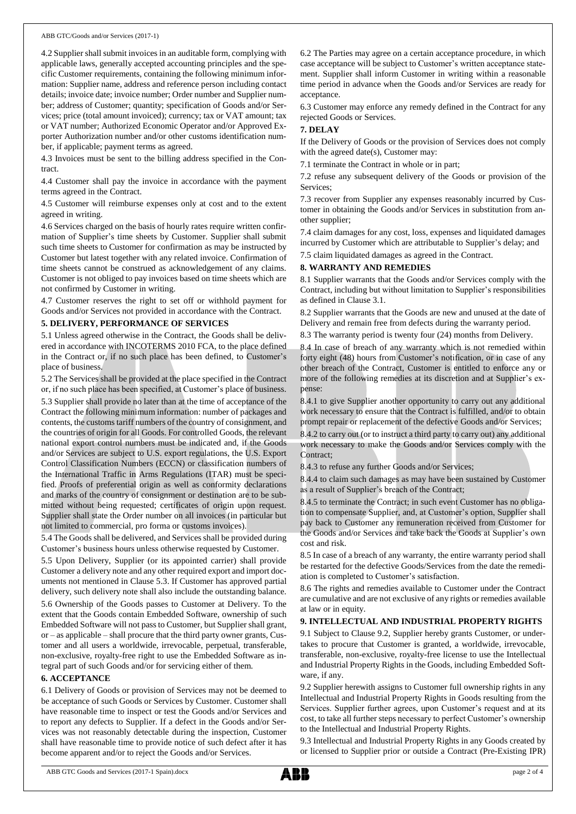4.2 Supplier shall submit invoices in an auditable form, complying with applicable laws, generally accepted accounting principles and the specific Customer requirements, containing the following minimum information: Supplier name, address and reference person including contact details; invoice date; invoice number; Order number and Supplier number; address of Customer; quantity; specification of Goods and/or Services; price (total amount invoiced); currency; tax or VAT amount; tax or VAT number; Authorized Economic Operator and/or Approved Exporter Authorization number and/or other customs identification number, if applicable; payment terms as agreed.

4.3 Invoices must be sent to the billing address specified in the Contract.

4.4 Customer shall pay the invoice in accordance with the payment terms agreed in the Contract.

4.5 Customer will reimburse expenses only at cost and to the extent agreed in writing.

4.6 Services charged on the basis of hourly rates require written confirmation of Supplier's time sheets by Customer. Supplier shall submit such time sheets to Customer for confirmation as may be instructed by Customer but latest together with any related invoice. Confirmation of time sheets cannot be construed as acknowledgement of any claims. Customer is not obliged to pay invoices based on time sheets which are not confirmed by Customer in writing.

4.7 Customer reserves the right to set off or withhold payment for Goods and/or Services not provided in accordance with the Contract.

#### **5. DELIVERY, PERFORMANCE OF SERVICES**

5.1 Unless agreed otherwise in the Contract, the Goods shall be delivered in accordance with INCOTERMS 2010 FCA, to the place defined in the Contract or, if no such place has been defined, to Customer's place of business.

5.2 The Services shall be provided at the place specified in the Contract or, if no such place has been specified, at Customer's place of business.

5.3 Supplier shall provide no later than at the time of acceptance of the Contract the following minimum information: number of packages and contents, the customs tariff numbers of the country of consignment, and the countries of origin for all Goods. For controlled Goods, the relevant national export control numbers must be indicated and, if the Goods and/or Services are subject to U.S. export regulations, the U.S. Export Control Classification Numbers (ECCN) or classification numbers of the International Traffic in Arms Regulations (ITAR) must be specified. Proofs of preferential origin as well as conformity declarations and marks of the country of consignment or destination are to be submitted without being requested; certificates of origin upon request. Supplier shall state the Order number on all invoices (in particular but not limited to commercial, pro forma or customs invoices).

5.4 The Goods shall be delivered, and Services shall be provided during Customer's business hours unless otherwise requested by Customer.

5.5 Upon Delivery, Supplier (or its appointed carrier) shall provide Customer a delivery note and any other required export and import documents not mentioned in Clause 5.3. If Customer has approved partial delivery, such delivery note shall also include the outstanding balance.

5.6 Ownership of the Goods passes to Customer at Delivery. To the extent that the Goods contain Embedded Software, ownership of such Embedded Software will not passto Customer, but Supplier shall grant, or – as applicable – shall procure that the third party owner grants, Customer and all users a worldwide, irrevocable, perpetual, transferable, non-exclusive, royalty-free right to use the Embedded Software as integral part of such Goods and/or for servicing either of them.

## **6. ACCEPTANCE**

6.1 Delivery of Goods or provision of Services may not be deemed to be acceptance of such Goods or Services by Customer. Customer shall have reasonable time to inspect or test the Goods and/or Services and to report any defects to Supplier. If a defect in the Goods and/or Services was not reasonably detectable during the inspection, Customer shall have reasonable time to provide notice of such defect after it has become apparent and/or to reject the Goods and/or Services.

6.2 The Parties may agree on a certain acceptance procedure, in which case acceptance will be subject to Customer's written acceptance statement. Supplier shall inform Customer in writing within a reasonable time period in advance when the Goods and/or Services are ready for acceptance.

6.3 Customer may enforce any remedy defined in the Contract for any rejected Goods or Services.

#### **7. DELAY**

If the Delivery of Goods or the provision of Services does not comply with the agreed date(s), Customer may:

7.1 terminate the Contract in whole or in part;

7.2 refuse any subsequent delivery of the Goods or provision of the Services;

7.3 recover from Supplier any expenses reasonably incurred by Customer in obtaining the Goods and/or Services in substitution from another supplier;

7.4 claim damages for any cost, loss, expenses and liquidated damages incurred by Customer which are attributable to Supplier's delay; and

7.5 claim liquidated damages as agreed in the Contract.

#### **8. WARRANTY AND REMEDIES**

8.1 Supplier warrants that the Goods and/or Services comply with the Contract, including but without limitation to Supplier's responsibilities as defined in Clause 3.1.

8.2 Supplier warrants that the Goods are new and unused at the date of Delivery and remain free from defects during the warranty period.

8.3 The warranty period is twenty four (24) months from Delivery.

8.4 In case of breach of any warranty which is not remedied within forty eight (48) hours from Customer's notification, or in case of any other breach of the Contract, Customer is entitled to enforce any or more of the following remedies at its discretion and at Supplier's expense:

8.4.1 to give Supplier another opportunity to carry out any additional work necessary to ensure that the Contract is fulfilled, and/or to obtain prompt repair or replacement of the defective Goods and/or Services;

8.4.2 to carry out (or to instruct a third party to carry out) any additional work necessary to make the Goods and/or Services comply with the Contract;

8.4.3 to refuse any further Goods and/or Services;

8.4.4 to claim such damages as may have been sustained by Customer as a result of Supplier's breach of the Contract;

8.4.5 to terminate the Contract; in such event Customer has no obligation to compensate Supplier, and, at Customer's option, Supplier shall pay back to Customer any remuneration received from Customer for the Goods and/or Services and take back the Goods at Supplier's own cost and risk.

8.5 In case of a breach of any warranty, the entire warranty period shall be restarted for the defective Goods/Services from the date the remediation is completed to Customer's satisfaction.

8.6 The rights and remedies available to Customer under the Contract are cumulative and are not exclusive of any rights or remedies available at law or in equity.

#### **9. INTELLECTUAL AND INDUSTRIAL PROPERTY RIGHTS**

9.1 Subject to Clause 9.2, Supplier hereby grants Customer, or undertakes to procure that Customer is granted, a worldwide, irrevocable, transferable, non-exclusive, royalty-free license to use the Intellectual and Industrial Property Rights in the Goods, including Embedded Software, if any.

9.2 Supplier herewith assigns to Customer full ownership rights in any Intellectual and Industrial Property Rights in Goods resulting from the Services. Supplier further agrees, upon Customer's request and at its cost, to take all further steps necessary to perfect Customer's ownership to the Intellectual and Industrial Property Rights.

9.3 Intellectual and Industrial Property Rights in any Goods created by or licensed to Supplier prior or outside a Contract (Pre-Existing IPR)

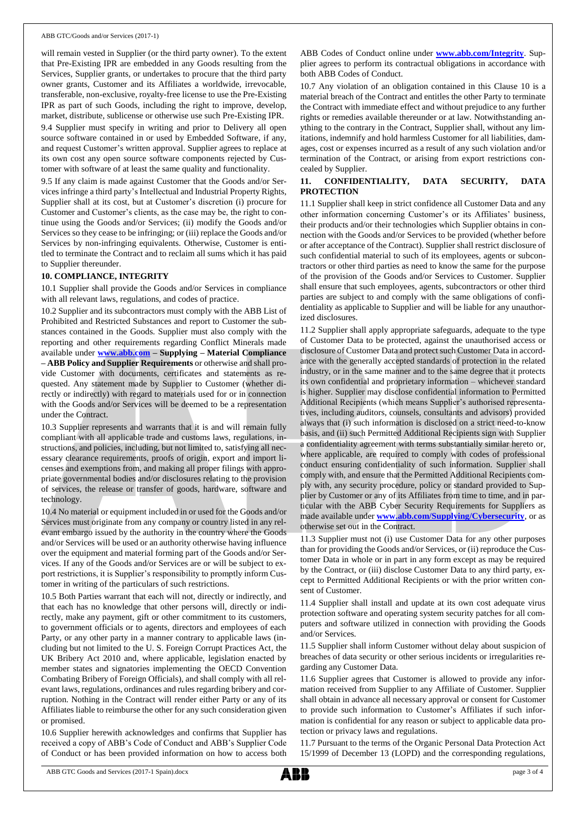will remain vested in Supplier (or the third party owner). To the extent that Pre-Existing IPR are embedded in any Goods resulting from the Services, Supplier grants, or undertakes to procure that the third party owner grants, Customer and its Affiliates a worldwide, irrevocable, transferable, non-exclusive, royalty-free license to use the Pre-Existing IPR as part of such Goods, including the right to improve, develop, market, distribute, sublicense or otherwise use such Pre-Existing IPR.

9.4 Supplier must specify in writing and prior to Delivery all open source software contained in or used by Embedded Software, if any, and request Customer's written approval. Supplier agrees to replace at its own cost any open source software components rejected by Customer with software of at least the same quality and functionality.

9.5 If any claim is made against Customer that the Goods and/or Services infringe a third party's Intellectual and Industrial Property Rights, Supplier shall at its cost, but at Customer's discretion (i) procure for Customer and Customer's clients, as the case may be, the right to continue using the Goods and/or Services; (ii) modify the Goods and/or Services so they cease to be infringing; or (iii) replace the Goods and/or Services by non-infringing equivalents. Otherwise, Customer is entitled to terminate the Contract and to reclaim all sums which it has paid to Supplier thereunder.

## **10. COMPLIANCE, INTEGRITY**

10.1 Supplier shall provide the Goods and/or Services in compliance with all relevant laws, regulations, and codes of practice.

10.2 Supplier and its subcontractors must comply with the ABB List of Prohibited and Restricted Substances and report to Customer the substances contained in the Goods. Supplier must also comply with the reporting and other requirements regarding Conflict Minerals made available under **[www.abb.com](http://www.abb.com/) – Supplying – Material Compliance – ABB Policy and Supplier Requirements** or otherwise and shall provide Customer with documents, certificates and statements as requested. Any statement made by Supplier to Customer (whether directly or indirectly) with regard to materials used for or in connection with the Goods and/or Services will be deemed to be a representation under the Contract.

10.3 Supplier represents and warrants that it is and will remain fully compliant with all applicable trade and customs laws, regulations, instructions, and policies, including, but not limited to, satisfying all necessary clearance requirements, proofs of origin, export and import licenses and exemptions from, and making all proper filings with appropriate governmental bodies and/or disclosures relating to the provision of services, the release or transfer of goods, hardware, software and technology.

10.4 No material or equipment included in or used for the Goods and/or Services must originate from any company or country listed in any relevant embargo issued by the authority in the country where the Goods and/or Services will be used or an authority otherwise having influence over the equipment and material forming part of the Goods and/or Services. If any of the Goods and/or Services are or will be subject to export restrictions, it is Supplier's responsibility to promptly inform Customer in writing of the particulars of such restrictions.

10.5 Both Parties warrant that each will not, directly or indirectly, and that each has no knowledge that other persons will, directly or indirectly, make any payment, gift or other commitment to its customers, to government officials or to agents, directors and employees of each Party, or any other party in a manner contrary to applicable laws (including but not limited to the U. S. Foreign Corrupt Practices Act, the UK Bribery Act 2010 and, where applicable, legislation enacted by member states and signatories implementing the OECD Convention Combating Bribery of Foreign Officials), and shall comply with all relevant laws, regulations, ordinances and rules regarding bribery and corruption. Nothing in the Contract will render either Party or any of its Affiliates liable to reimburse the other for any such consideration given or promised.

10.6 Supplier herewith acknowledges and confirms that Supplier has received a copy of ABB's Code of Conduct and ABB's Supplier Code of Conduct or has been provided information on how to access both ABB Codes of Conduct online under **[www.abb.com/Integrity](http://www.abb.com/Integrity)**. Supplier agrees to perform its contractual obligations in accordance with both ABB Codes of Conduct.

10.7 Any violation of an obligation contained in this Clause 10 is a material breach of the Contract and entitles the other Party to terminate the Contract with immediate effect and without prejudice to any further rights or remedies available thereunder or at law. Notwithstanding anything to the contrary in the Contract, Supplier shall, without any limitations, indemnify and hold harmless Customer for all liabilities, damages, cost or expenses incurred as a result of any such violation and/or termination of the Contract, or arising from export restrictions concealed by Supplier.

# **11. CONFIDENTIALITY, DATA SECURITY, DATA PROTECTION**

11.1 Supplier shall keep in strict confidence all Customer Data and any other information concerning Customer's or its Affiliates' business, their products and/or their technologies which Supplier obtains in connection with the Goods and/or Services to be provided (whether before or after acceptance of the Contract). Supplier shall restrict disclosure of such confidential material to such of its employees, agents or subcontractors or other third parties as need to know the same for the purpose of the provision of the Goods and/or Services to Customer. Supplier shall ensure that such employees, agents, subcontractors or other third parties are subject to and comply with the same obligations of confidentiality as applicable to Supplier and will be liable for any unauthorized disclosures.

11.2 Supplier shall apply appropriate safeguards, adequate to the type of Customer Data to be protected, against the unauthorised access or disclosure of Customer Data and protect such Customer Data in accordance with the generally accepted standards of protection in the related industry, or in the same manner and to the same degree that it protects its own confidential and proprietary information – whichever standard is higher. Supplier may disclose confidential information to Permitted Additional Recipients (which means Supplier's authorised representatives, including auditors, counsels, consultants and advisors) provided always that (i) such information is disclosed on a strict need-to-know basis, and (ii) such Permitted Additional Recipients sign with Supplier a confidentiality agreement with terms substantially similar hereto or, where applicable, are required to comply with codes of professional conduct ensuring confidentiality of such information. Supplier shall comply with, and ensure that the Permitted Additional Recipients comply with, any security procedure, policy or standard provided to Supplier by Customer or any of its Affiliates from time to time, and in particular with the ABB Cyber Security Requirements for Suppliers as made available under **[www.abb.com/Supplying/Cybersecurity](http://www.abb.com/Supplying/Cybersecurity)**, or as otherwise set out in the Contract.

11.3 Supplier must not (i) use Customer Data for any other purposes than for providing the Goods and/or Services, or (ii) reproduce the Customer Data in whole or in part in any form except as may be required by the Contract, or (iii) disclose Customer Data to any third party, except to Permitted Additional Recipients or with the prior written consent of Customer.

11.4 Supplier shall install and update at its own cost adequate virus protection software and operating system security patches for all computers and software utilized in connection with providing the Goods and/or Services.

11.5 Supplier shall inform Customer without delay about suspicion of breaches of data security or other serious incidents or irregularities regarding any Customer Data.

11.6 Supplier agrees that Customer is allowed to provide any information received from Supplier to any Affiliate of Customer. Supplier shall obtain in advance all necessary approval or consent for Customer to provide such information to Customer's Affiliates if such information is confidential for any reason or subject to applicable data protection or privacy laws and regulations.

11.7 Pursuant to the terms of the Organic Personal Data Protection Act 15/1999 of December 13 (LOPD) and the corresponding regulations,